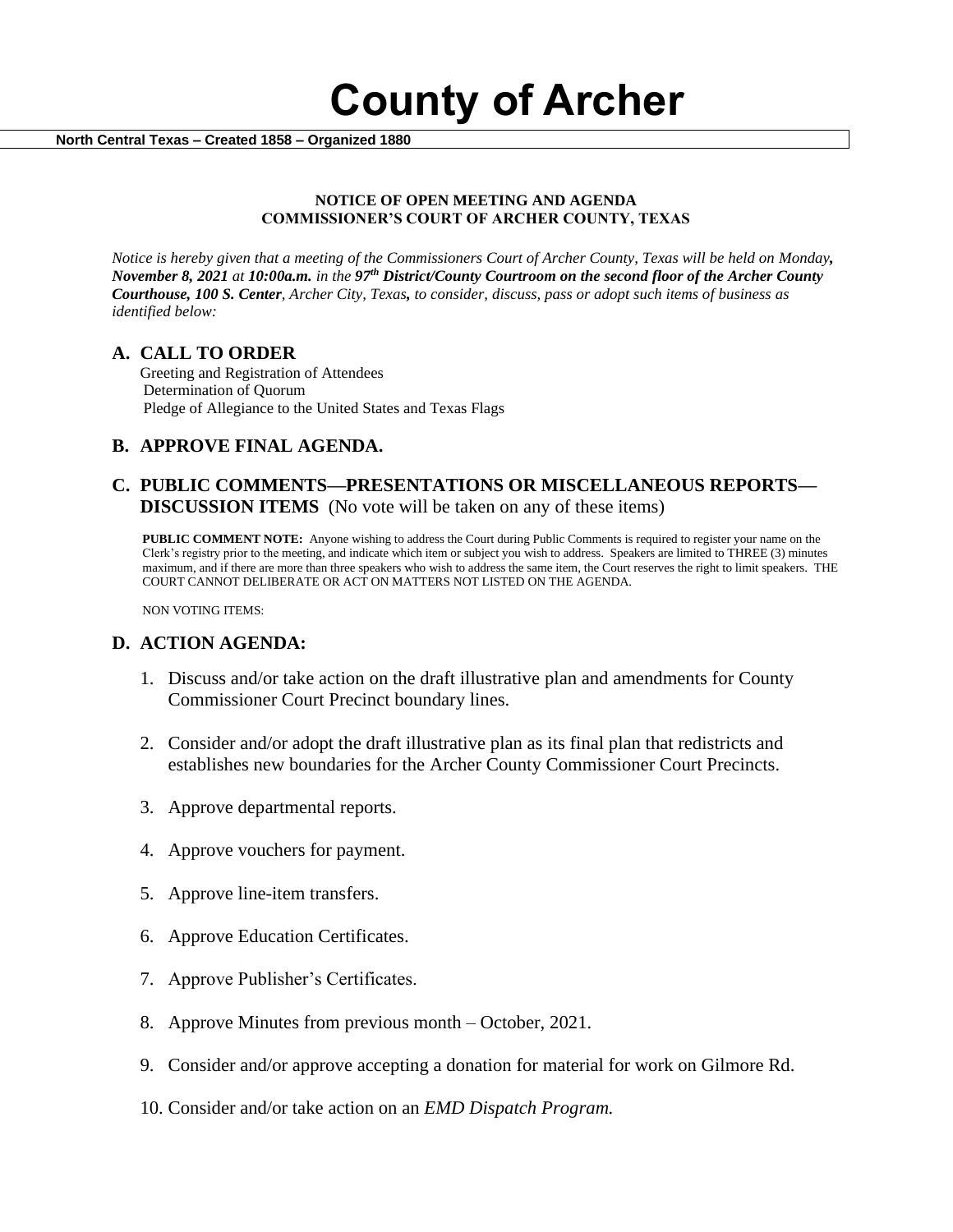**County of Archer** 

 **North Central Texas – Created 1858 – Organized 1880**

#### **NOTICE OF OPEN MEETING AND AGENDA COMMISSIONER'S COURT OF ARCHER COUNTY, TEXAS**

*Notice is hereby given that a meeting of the Commissioners Court of Archer County, Texas will be held on Monday, November 8, 2021 at 10:00a.m. in the 97th District/County Courtroom on the second floor of the Archer County Courthouse, 100 S. Center, Archer City, Texas, to consider, discuss, pass or adopt such items of business as identified below:*

## **A. CALL TO ORDER**

 Greeting and Registration of Attendees Determination of Quorum Pledge of Allegiance to the United States and Texas Flags

## **B. APPROVE FINAL AGENDA.**

## **C. PUBLIC COMMENTS—PRESENTATIONS OR MISCELLANEOUS REPORTS— DISCUSSION ITEMS** (No vote will be taken on any of these items)

**PUBLIC COMMENT NOTE:** Anyone wishing to address the Court during Public Comments is required to register your name on the Clerk's registry prior to the meeting, and indicate which item or subject you wish to address. Speakers are limited to THREE (3) minutes maximum, and if there are more than three speakers who wish to address the same item, the Court reserves the right to limit speakers. THE COURT CANNOT DELIBERATE OR ACT ON MATTERS NOT LISTED ON THE AGENDA.

NON VOTING ITEMS:

## **D. ACTION AGENDA:**

- 1. Discuss and/or take action on the draft illustrative plan and amendments for County Commissioner Court Precinct boundary lines.
- 2. Consider and/or adopt the draft illustrative plan as its final plan that redistricts and establishes new boundaries for the Archer County Commissioner Court Precincts.
- 3. Approve departmental reports.
- 4. Approve vouchers for payment.
- 5. Approve line-item transfers.
- 6. Approve Education Certificates.
- 7. Approve Publisher's Certificates.
- 8. Approve Minutes from previous month October, 2021.
- 9. Consider and/or approve accepting a donation for material for work on Gilmore Rd.
- 10. Consider and/or take action on an *EMD Dispatch Program.*